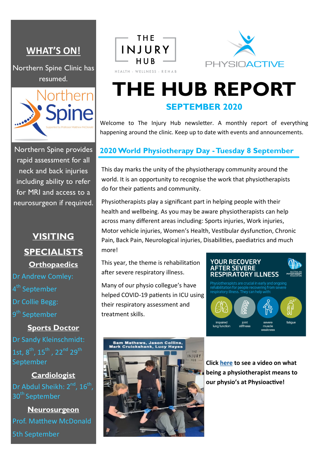# **WHAT'S ON!**

Northern Spine Clinic has resumed.



Northern Spine provides rapid assessment for all neck and back injuries including ability to refer for MRI and access to a neurosurgeon if required.

# **VISITING SPECIALISTS Orthopaedics**

- Dr Andrew Comley:
- 4<sup>th</sup> September
- Dr Collie Begg:
- 9<sup>th</sup> September

## **Sports Doctor** Dr Sandy Kleinschmidt: 1st,  $8^{th}$ ,  $15^{th}$ ,  $22^{nd}$   $29^{th}$ September

#### **Cardiologist**

Dr Abdul Sheikh: 2<sup>nd</sup>, 16<sup>th</sup>, 30<sup>th</sup> September

**Neurosurgeon** Prof. Matthew McDonald 5th September





# **THE HUB REPORT SEPTEMBER 2020**

Welcome to The Injury Hub newsletter. A monthly report of everything happening around the clinic. Keep up to date with events and announcements.

## **2020 World Physiotherapy Day -Tuesday 8 September**

This day marks the unity of the physiotherapy community around the world. It is an opportunity to recognise the work that physiotherapists do for their patients and community.

Physiotherapists play a significant part in helping people with their health and wellbeing. As you may be aware physiotherapists can help across many different areas including: Sports injuries, Work injuries, Motor vehicle injuries, Women's Health, Vestibular dysfunction, Chronic Pain, Back Pain, Neurological injuries, Disabilities, paediatrics and much more!

This year, the theme is rehabilitation after severe respiratory illness.

Many of our physio collegue's have helped COVID-19 patients in ICU using their respiratory assessment and treatment skills.





**Click [here](https://www.facebook.com/watch/?v=3277395995643586) to see a video on what being a physiotherapist means to our physio's at Physioactive!**